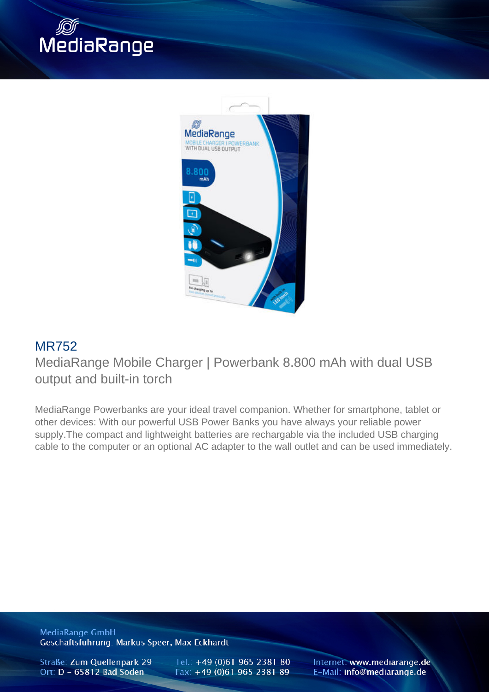



## MR752

MediaRange Mobile Charger | Powerbank 8.800 mAh with dual USB output and built-in torch

MediaRange Powerbanks are your ideal travel companion. Whether for smartphone, tablet or other devices: With our powerful USB Power Banks you have always your reliable power supply.The compact and lightweight batteries are rechargable via the included USB charging cable to the computer or an optional AC adapter to the wall outlet and can be used immediately.

**MediaRange GmbH** Geschäftsführung: Markus Speer, Max Eckhardt

Straße: Zum Quellenpark 29 Ort: D - 65812 Bad Soden

Tel.: +49 (0)61 965 2381 80 Fax: +49 (0)61 965 2381 89

Internet: www.mediarange.de E-Mail: info@mediarange.de